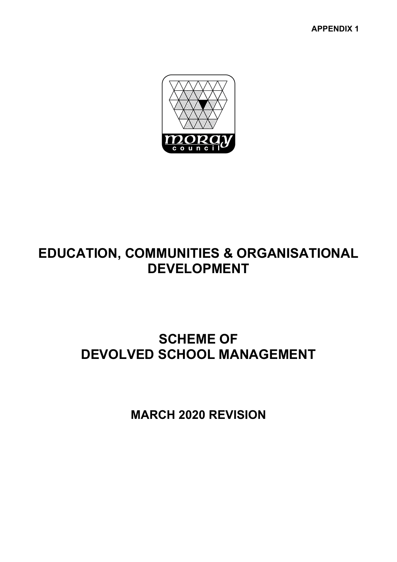**APPENDIX 1** 



# **EDUCATION, COMMUNITIES & ORGANISATIONAL DEVELOPMENT**

# **SCHEME OF DEVOLVED SCHOOL MANAGEMENT**

**MARCH 2020 REVISION**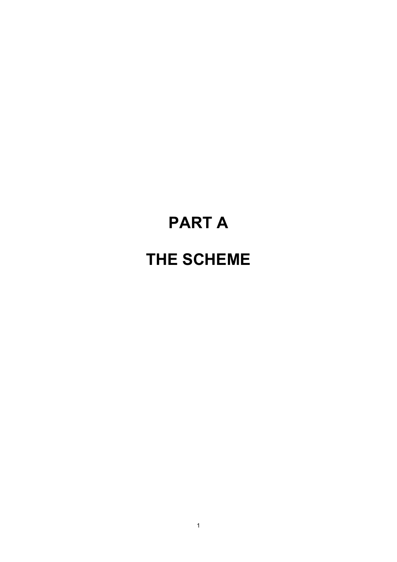# **PART A THE SCHEME**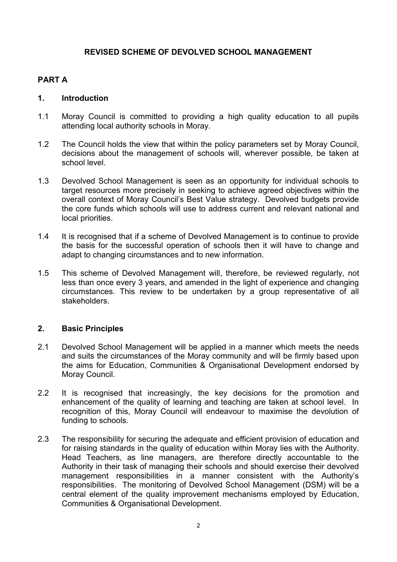# **REVISED SCHEME OF DEVOLVED SCHOOL MANAGEMENT**

# **PART A**

# **1. Introduction**

- 1.1 Moray Council is committed to providing a high quality education to all pupils attending local authority schools in Moray.
- 1.2 The Council holds the view that within the policy parameters set by Moray Council, decisions about the management of schools will, wherever possible, be taken at school level.
- 1.3 Devolved School Management is seen as an opportunity for individual schools to target resources more precisely in seeking to achieve agreed objectives within the overall context of Moray Council's Best Value strategy. Devolved budgets provide the core funds which schools will use to address current and relevant national and local priorities.
- 1.4 It is recognised that if a scheme of Devolved Management is to continue to provide the basis for the successful operation of schools then it will have to change and adapt to changing circumstances and to new information.
- 1.5 This scheme of Devolved Management will, therefore, be reviewed regularly, not less than once every 3 years, and amended in the light of experience and changing circumstances. This review to be undertaken by a group representative of all stakeholders.

# **2. Basic Principles**

- 2.1 Devolved School Management will be applied in a manner which meets the needs and suits the circumstances of the Moray community and will be firmly based upon the aims for Education, Communities & Organisational Development endorsed by Moray Council.
- 2.2 It is recognised that increasingly, the key decisions for the promotion and enhancement of the quality of learning and teaching are taken at school level. In recognition of this, Moray Council will endeavour to maximise the devolution of funding to schools.
- 2.3 The responsibility for securing the adequate and efficient provision of education and for raising standards in the quality of education within Moray lies with the Authority. Head Teachers, as line managers, are therefore directly accountable to the Authority in their task of managing their schools and should exercise their devolved management responsibilities in a manner consistent with the Authority's responsibilities. The monitoring of Devolved School Management (DSM) will be a central element of the quality improvement mechanisms employed by Education, Communities & Organisational Development.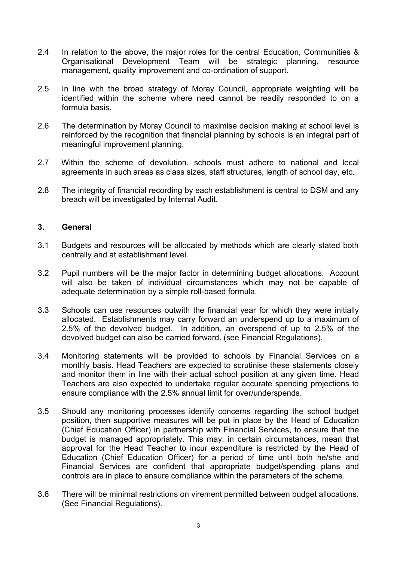- 2.4 In relation to the above, the major roles for the central Education, Communities & Organisational Development Team will be strategic planning, resource management, quality improvement and co-ordination of support.
- 2.5 In line with the broad strategy of Moray Council, appropriate weighting will be identified within the scheme where need cannot be readily responded to on a formula basis.
- 2.6 The determination by Moray Council to maximise decision making at school level is reinforced by the recognition that financial planning by schools is an integral part of meaningful improvement planning.
- 2.7 Within the scheme of devolution, schools must adhere to national and local agreements in such areas as class sizes, staff structures, length of school day, etc.
- 2.8 The integrity of financial recording by each establishment is central to DSM and any breach will be investigated by Internal Audit.

# **3. General**

- 3.1 Budgets and resources will be allocated by methods which are clearly stated both centrally and at establishment level.
- 3.2 Pupil numbers will be the major factor in determining budget allocations. Account will also be taken of individual circumstances which may not be capable of adequate determination by a simple roll-based formula.
- 3.3 Schools can use resources outwith the financial year for which they were initially allocated. Establishments may carry forward an underspend up to a maximum of 2.5% of the devolved budget. In addition, an overspend of up to 2.5% of the devolved budget can also be carried forward. (see Financial Regulations).
- 3.4 Monitoring statements will be provided to schools by Financial Services on a monthly basis. Head Teachers are expected to scrutinise these statements closely and monitor them in line with their actual school position at any given time. Head Teachers are also expected to undertake regular accurate spending projections to ensure compliance with the 2.5% annual limit for over/underspends.
- 3.5 Should any monitoring processes identify concerns regarding the school budget position, then supportive measures will be put in place by the Head of Education (Chief Education Officer) in partnership with Financial Services, to ensure that the budget is managed appropriately. This may, in certain circumstances, mean that approval for the Head Teacher to incur expenditure is restricted by the Head of Education (Chief Education Officer) for a period of time until both he/she and Financial Services are confident that appropriate budget/spending plans and controls are in place to ensure compliance within the parameters of the scheme.
- 3.6 There will be minimal restrictions on virement permitted between budget allocations. (See Financial Regulations).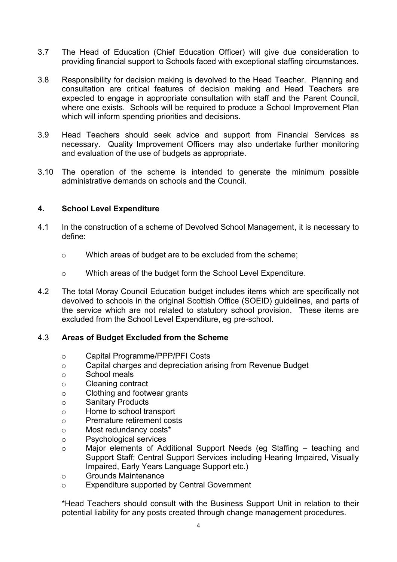- 3.7 The Head of Education (Chief Education Officer) will give due consideration to providing financial support to Schools faced with exceptional staffing circumstances.
- 3.8 Responsibility for decision making is devolved to the Head Teacher. Planning and consultation are critical features of decision making and Head Teachers are expected to engage in appropriate consultation with staff and the Parent Council, where one exists. Schools will be required to produce a School Improvement Plan which will inform spending priorities and decisions.
- 3.9 Head Teachers should seek advice and support from Financial Services as necessary. Quality Improvement Officers may also undertake further monitoring and evaluation of the use of budgets as appropriate.
- 3.10 The operation of the scheme is intended to generate the minimum possible administrative demands on schools and the Council.

# **4. School Level Expenditure**

- 4.1 In the construction of a scheme of Devolved School Management, it is necessary to define:
	- o Which areas of budget are to be excluded from the scheme;
	- o Which areas of the budget form the School Level Expenditure.
- 4.2 The total Moray Council Education budget includes items which are specifically not devolved to schools in the original Scottish Office (SOEID) guidelines, and parts of the service which are not related to statutory school provision. These items are excluded from the School Level Expenditure, eg pre-school.

# 4.3 **Areas of Budget Excluded from the Scheme**

- o Capital Programme/PPP/PFI Costs
- o Capital charges and depreciation arising from Revenue Budget
- o School meals
- o Cleaning contract
- o Clothing and footwear grants
- o Sanitary Products
- o Home to school transport
- o Premature retirement costs
- o Most redundancy costs\*
- o Psychological services
- o Major elements of Additional Support Needs (eg Staffing teaching and Support Staff; Central Support Services including Hearing Impaired, Visually Impaired, Early Years Language Support etc.)
- o Grounds Maintenance
- o Expenditure supported by Central Government

\*Head Teachers should consult with the Business Support Unit in relation to their potential liability for any posts created through change management procedures.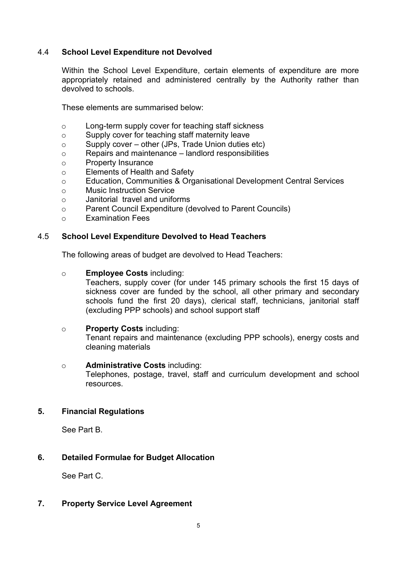# 4.4 **School Level Expenditure not Devolved**

Within the School Level Expenditure, certain elements of expenditure are more appropriately retained and administered centrally by the Authority rather than devolved to schools.

These elements are summarised below:

- o Long-term supply cover for teaching staff sickness
- o Supply cover for teaching staff maternity leave
- o Supply cover other (JPs, Trade Union duties etc)
- o Repairs and maintenance landlord responsibilities
- o Property Insurance
- o Elements of Health and Safety
- o Education, Communities & Organisational Development Central Services
- o Music Instruction Service
- o Janitorial travel and uniforms
- o Parent Council Expenditure (devolved to Parent Councils)
- o Examination Fees

# 4.5 **School Level Expenditure Devolved to Head Teachers**

The following areas of budget are devolved to Head Teachers:

o **Employee Costs** including:

Teachers, supply cover (for under 145 primary schools the first 15 days of sickness cover are funded by the school, all other primary and secondary schools fund the first 20 days), clerical staff, technicians, janitorial staff (excluding PPP schools) and school support staff

# o **Property Costs** including:

Tenant repairs and maintenance (excluding PPP schools), energy costs and cleaning materials

# o **Administrative Costs** including:

Telephones, postage, travel, staff and curriculum development and school resources.

# **5. Financial Regulations**

See Part B.

# **6. Detailed Formulae for Budget Allocation**

See Part C.

# **7. Property Service Level Agreement**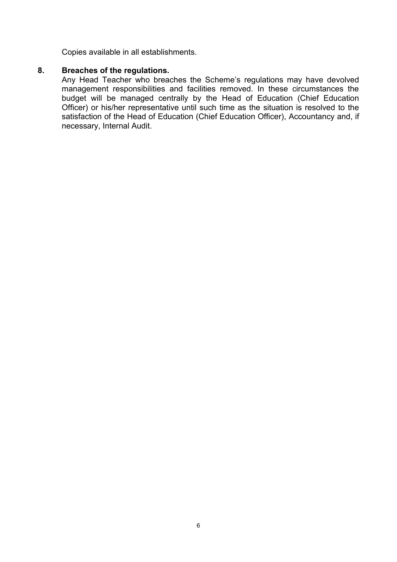Copies available in all establishments.

# **8. Breaches of the regulations.**

Any Head Teacher who breaches the Scheme's regulations may have devolved management responsibilities and facilities removed. In these circumstances the budget will be managed centrally by the Head of Education (Chief Education Officer) or his/her representative until such time as the situation is resolved to the satisfaction of the Head of Education (Chief Education Officer), Accountancy and, if necessary, Internal Audit.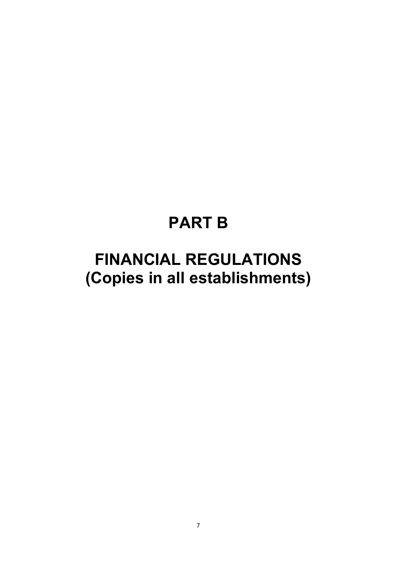# **PART B**

# **FINANCIAL REGULATIONS (Copies in all establishments)**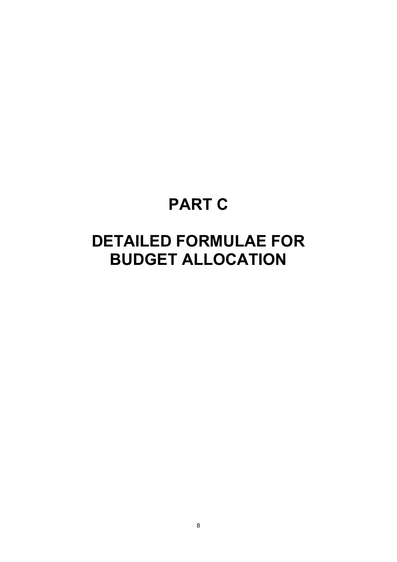# **PART C**

# **DETAILED FORMULAE FOR BUDGET ALLOCATION**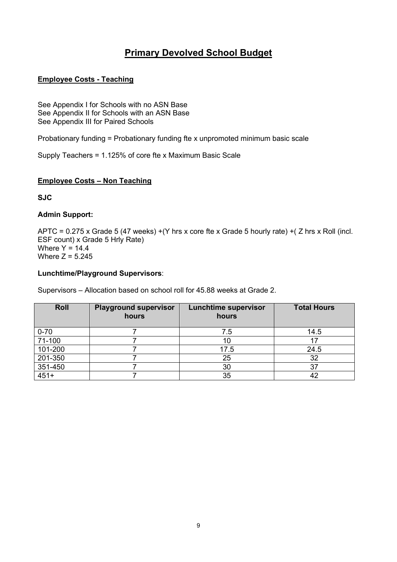# **Primary Devolved School Budget**

# **Employee Costs - Teaching**

See Appendix I for Schools with no ASN Base See Appendix II for Schools with an ASN Base See Appendix III for Paired Schools

Probationary funding = Probationary funding fte x unpromoted minimum basic scale

Supply Teachers = 1.125% of core fte x Maximum Basic Scale

# **Employee Costs – Non Teaching**

**SJC** 

### **Admin Support:**

APTC = 0.275 x Grade 5 (47 weeks) +(Y hrs x core fte x Grade 5 hourly rate) +( Z hrs x Roll (incl. ESF count) x Grade 5 Hrly Rate) Where  $Y = 14.4$ Where  $Z = 5.245$ 

# **Lunchtime/Playground Supervisors**:

Supervisors – Allocation based on school roll for 45.88 weeks at Grade 2.

| <b>Roll</b>            | <b>Playground supervisor</b><br>hours | <b>Lunchtime supervisor</b><br>hours | <b>Total Hours</b> |
|------------------------|---------------------------------------|--------------------------------------|--------------------|
| $0 - 70$               |                                       | 7.5                                  | 14.5               |
| 71-100                 |                                       |                                      |                    |
| 101-200                |                                       | 17.5                                 | 24.5               |
| 201-350                |                                       | 25                                   | 32                 |
| $\frac{351-450}{451+}$ |                                       | 30                                   | 37                 |
|                        |                                       | 35                                   |                    |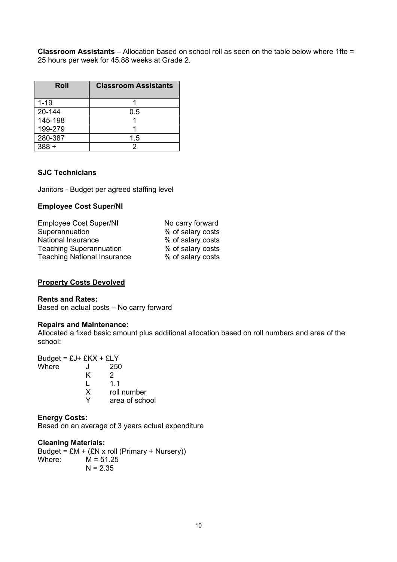**Classroom Assistants** – Allocation based on school roll as seen on the table below where 1fte = 25 hours per week for 45.88 weeks at Grade 2.

| Roll     | <b>Classroom Assistants</b> |
|----------|-----------------------------|
| $1 - 19$ |                             |
| 20-144   | 0.5                         |
| 145-198  |                             |
| 199-279  |                             |
| 280-387  | 1.5                         |
| $388 +$  |                             |

# **SJC Technicians**

Janitors - Budget per agreed staffing level

### **Employee Cost Super/NI**

| <b>Employee Cost Super/NI</b>      | No carry forward  |
|------------------------------------|-------------------|
| Superannuation                     | % of salary costs |
| National Insurance                 | % of salary costs |
| <b>Teaching Superannuation</b>     | % of salary costs |
| <b>Teaching National Insurance</b> | % of salary costs |
|                                    |                   |

#### **Property Costs Devolved**

#### **Rents and Rates:**

Based on actual costs – No carry forward

### **Repairs and Maintenance:**

Allocated a fixed basic amount plus additional allocation based on roll numbers and area of the school:

Budget =  $EJ + EKX + ELY$ <br>Where  $J$  250 Where J  $K$  2<br>L 1.  $L$  1.1<br>X roll roll number Y area of school

# **Energy Costs:**

Based on an average of 3 years actual expenditure

# **Cleaning Materials:**

Budget =  $EM + (EN \times roll (Primary + Nursery))$ <br>Where:  $M = 51.25$  $M = 51.25$  $N = 2.35$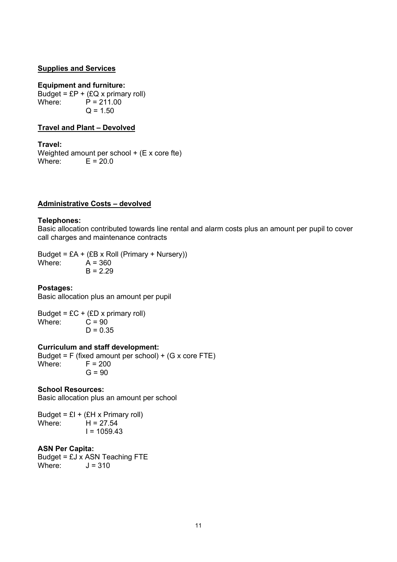#### **Supplies and Services**

#### **Equipment and furniture:**

Budget =  $EP + (EQ \times \text{primary roll})$ <br>Where:  $P = 211.00$  $P = 211.00$  $Q = 1.50$ 

### **Travel and Plant – Devolved**

**Travel:**  Weighted amount per school + (E x core fte) Where:  $E = 20.0$ 

# **Administrative Costs – devolved**

#### **Telephones:**

Basic allocation contributed towards line rental and alarm costs plus an amount per pupil to cover call charges and maintenance contracts

Budget = £A +  $(EB \times \text{Roll (Primary + Nurserv)})$ Where:  $\overline{A} = 360$  $B = 2.29$ 

#### **Postages:**

Basic allocation plus an amount per pupil

Budget = £C + (£D x primary roll)<br>Where:  $C = 90$  $Where:$  $D = 0.35$ 

# **Curriculum and staff development:**

Budget = F (fixed amount per school) + (G x core FTE)<br>Where:  $F = 200$  $F = 200$  $G = 90$ 

# **School Resources:**

Basic allocation plus an amount per school

Budget =  $EI + (EH \times Primary$  roll) Where:  $H = 27.54$  $I = 1059.43$ 

#### **ASN Per Capita:**

Budget =  $EJ \times ASN$  Teaching FTE<br>Where  $J = 310$  $J = 310$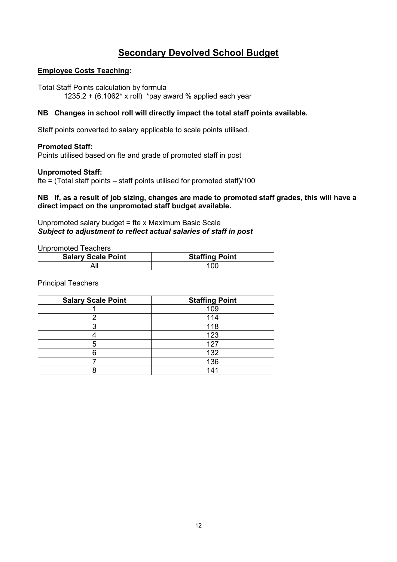# **Secondary Devolved School Budget**

# **Employee Costs Teaching:**

Total Staff Points calculation by formula 1235.2 +  $(6.1062* \times$  roll) \*pay award % applied each year

# **NB Changes in school roll will directly impact the total staff points available.**

Staff points converted to salary applicable to scale points utilised.

# **Promoted Staff:**

Points utilised based on fte and grade of promoted staff in post

# **Unpromoted Staff:**

fte = (Total staff points – staff points utilised for promoted staff)/100

# **NB If, as a result of job sizing, changes are made to promoted staff grades, this will have a direct impact on the unpromoted staff budget available.**

# Unpromoted salary budget = fte x Maximum Basic Scale *Subject to adjustment to reflect actual salaries of staff in post*

Unpromoted Teachers

| <b>Salary Scale Point</b> | <b>Staffing Point</b> |
|---------------------------|-----------------------|
|                           | 10C                   |

Principal Teachers

| <b>Salary Scale Point</b> | <b>Staffing Point</b> |
|---------------------------|-----------------------|
|                           | 109                   |
|                           | 114                   |
|                           | 118                   |
|                           | 123                   |
|                           | 127                   |
|                           | 132                   |
|                           | 136                   |
|                           | 141                   |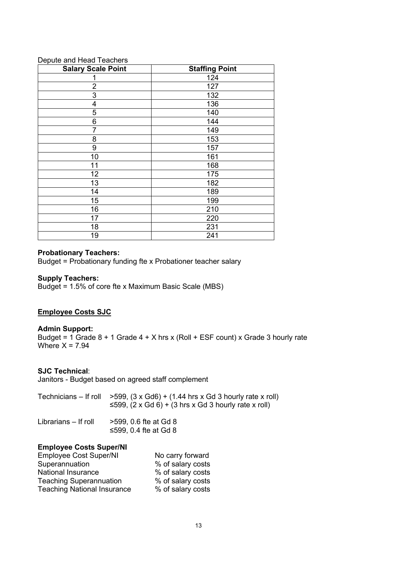| Bepale and ricad readriere<br><b>Salary Scale Point</b> | <b>Staffing Point</b> |
|---------------------------------------------------------|-----------------------|
|                                                         | 124                   |
| $\overline{2}$                                          | 127                   |
| 3                                                       | 132                   |
| $\overline{\mathbf{4}}$                                 | 136                   |
| 5                                                       | 140                   |
| 6                                                       | 144                   |
| 7                                                       | 149                   |
| 8                                                       | 153                   |
| 9                                                       | 157                   |
| 10                                                      | 161                   |
| 11                                                      | 168                   |
| 12                                                      | 175                   |
| 13                                                      | 182                   |
| 14                                                      | 189                   |
| 15                                                      | 199                   |
| 16                                                      | 210                   |
| 17                                                      | 220                   |
| 18                                                      | 231                   |
| 19                                                      | 241                   |

# Depute and Head Teachers

### **Probationary Teachers:**

Budget = Probationary funding fte x Probationer teacher salary

# **Supply Teachers:**

Budget = 1.5% of core fte x Maximum Basic Scale (MBS)

# **Employee Costs SJC**

#### **Admin Support:**

Budget = 1 Grade  $8 + 1$  Grade  $4 + X$  hrs x (Roll + ESF count) x Grade 3 hourly rate Where  $X = 7.94$ 

# **SJC Technical**:

Janitors - Budget based on agreed staff complement

| Technicians – If roll $>599$ , $(3 \times Gd6) + (1.44 \text{ hrs} \times Gd 3 \text{ hourly rate} \times \text{roll})$ |
|-------------------------------------------------------------------------------------------------------------------------|
| $\leq$ 599, (2 x Gd 6) + (3 hrs x Gd 3 hourly rate x roll)                                                              |

| Librarians – If roll | >599, 0.6 fte at Gd 8 |
|----------------------|-----------------------|
|                      | ≤599, 0.4 fte at Gd 8 |

### **Employee Costs Super/NI**

| <b>Employee Cost Super/NI</b>      | No carry forward  |
|------------------------------------|-------------------|
| Superannuation                     | % of salary costs |
| National Insurance                 | % of salary costs |
| <b>Teaching Superannuation</b>     | % of salary costs |
| <b>Teaching National Insurance</b> | % of salary costs |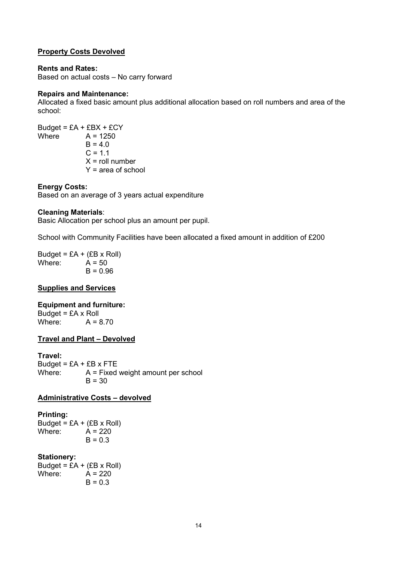# **Property Costs Devolved**

#### **Rents and Rates:**

Based on actual costs – No carry forward

#### **Repairs and Maintenance:**

Allocated a fixed basic amount plus additional allocation based on roll numbers and area of the school:

Budget =  $E A + E B X + E C Y$ <br>Where  $A = 1250$  $A = 1250$  $B = 4.0$  $C = 1.1$  $X =$  roll number Y = area of school

### **Energy Costs:**

Based on an average of 3 years actual expenditure

#### **Cleaning Materials**:

Basic Allocation per school plus an amount per pupil.

School with Community Facilities have been allocated a fixed amount in addition of £200

Budget =  $E A + (EB \times Roll)$ Where:  $\overline{A} = 50$  $B = 0.96$ 

#### **Supplies and Services**

# **Equipment and furniture:**

Budget =  $E$ A x Roll Where:  $A = 8.70$ 

#### **Travel and Plant – Devolved**

#### **Travel:**

Budget =  $E$ A +  $E$ B x FTE Where:  $A = Fixed weight amount per school$  $B = 30$ 

# **Administrative Costs – devolved**

#### **Printing:**

Budget =  $E A + (E B \times \text{Roll})$ Where:  $\dot{A} = 220$  $B = 0.3$ 

#### **Stationery:**

Budget =  $E A + (EB \times Roll)$ Where:  $A = 220$  $B = 0.3$